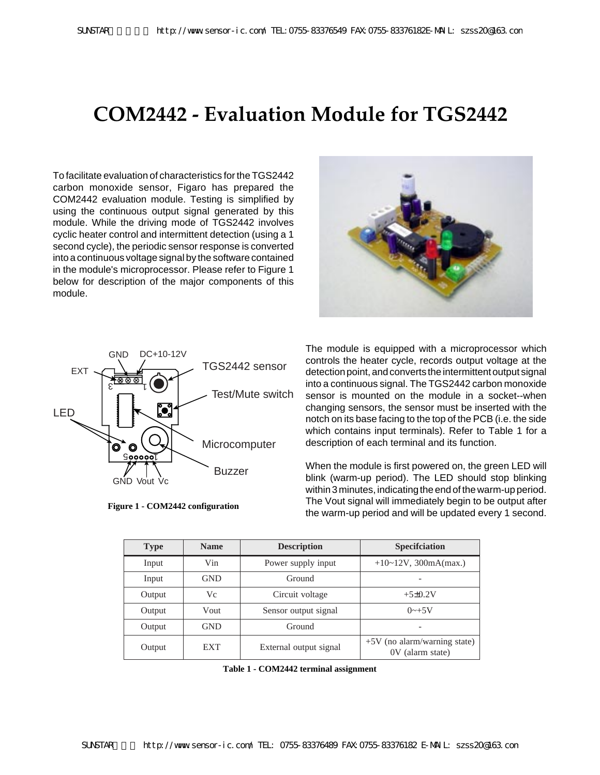## **COM2442 - Evaluation Module for TGS2442**

To facilitate evaluation of characteristics for the TGS2442 carbon monoxide sensor, Figaro has prepared the COM2442 evaluation module. Testing is simplified by using the continuous output signal generated by this module. While the driving mode of TGS2442 involves cyclic heater control and intermittent detection (using a 1 second cycle), the periodic sensor response is converted into a continuous voltage signal by the software contained in the module's microprocessor. Please refer to Figure 1 below for description of the major components of this module.





**Figure 1 - COM2442 configuration**

The module is equipped with a microprocessor which controls the heater cycle, records output voltage at the detection point, and converts the intermittent output signal into a continuous signal. The TGS2442 carbon monoxide sensor is mounted on the module in a socket--when changing sensors, the sensor must be inserted with the notch on its base facing to the top of the PCB (i.e. the side which contains input terminals). Refer to Table 1 for a description of each terminal and its function.

When the module is first powered on, the green LED will blink (warm-up period). The LED should stop blinking within 3 minutes, indicating the end of the warm-up period. The Vout signal will immediately begin to be output after the warm-up period and will be updated every 1 second.

| <b>Type</b> | <b>Name</b> | <b>Description</b>     | <b>Specification</b>                               |
|-------------|-------------|------------------------|----------------------------------------------------|
| Input       | Vin         | Power supply input     | $+10-12V$ , 300mA(max.)                            |
| Input       | <b>GND</b>  | Ground                 |                                                    |
| Output      | Vc          | Circuit voltage        | $+5\pm0.2V$                                        |
| Output      | Vout        | Sensor output signal   | $0 \rightarrow +5V$                                |
| Output      | <b>GND</b>  | Ground                 |                                                    |
| Output      | <b>EXT</b>  | External output signal | $+5V$ (no alarm/warning state)<br>0V (alarm state) |

**Table 1 - COM2442 terminal assignment**